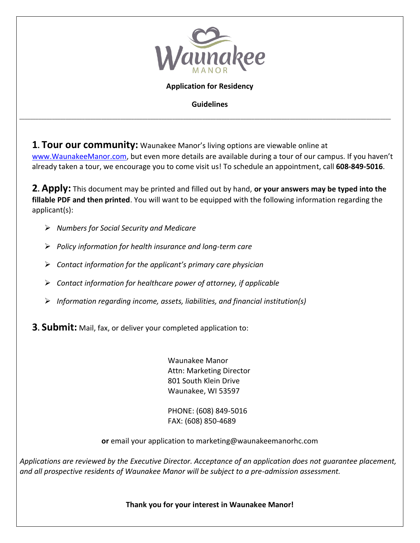

## **Application for Residency**

**Guidelines** 

*\_\_\_\_\_\_\_\_\_\_\_\_\_\_\_\_\_\_\_\_\_\_\_\_\_\_\_\_\_\_\_\_\_\_\_\_\_\_\_\_\_\_\_\_\_\_\_\_\_\_\_\_\_\_\_\_\_\_\_\_\_\_\_\_\_\_\_\_\_\_\_\_\_\_\_\_\_\_\_\_\_\_\_\_\_\_\_\_\_\_\_\_\_\_\_\_\_\_\_\_\_\_\_\_\_\_\_\_\_\_\_\_\_\_\_\_\_\_\_\_\_\_\_\_\_\_\_\_\_\_\_\_\_\_\_\_* 

**1. Tour our community:** Waunakee Manor's living options are viewable online at [www.WaunakeeManor.com](http://www.waunakeemanor.com/), but even more details are available during a tour of our campus. If you haven't already taken a tour, we encourage you to come visit us! To schedule an appointment, call **608-849-5016**.

**2. Apply:** This document may be printed and filled out by hand, **or your answers may be typed into the fillable PDF and then printed**. You will want to be equipped with the following information regarding the applicant(s):

- *Numbers for Social Security and Medicare*
- *Policy information for health insurance and long-term care*
- *Contact information for the applicant's primary care physician*
- *Contact information for healthcare power of attorney, if applicable*
- *Information regarding income, assets, liabilities, and financial institution(s)*

**3. Submit:** Mail, fax, or deliver your completed application to:

Waunakee Manor Attn: Marketing Director 801 South Klein Drive Waunakee, WI 53597

PHONE: (608) 849-5016 FAX: (608) 850-4689

**or** email your application to marketing@waunakeemanorhc.com

*Applications are reviewed by the Executive Director. Acceptance of an application does not guarantee placement, and all prospective residents of Waunakee Manor will be subject to a pre-admission assessment.* 

**Thank you for your interest in Waunakee Manor!**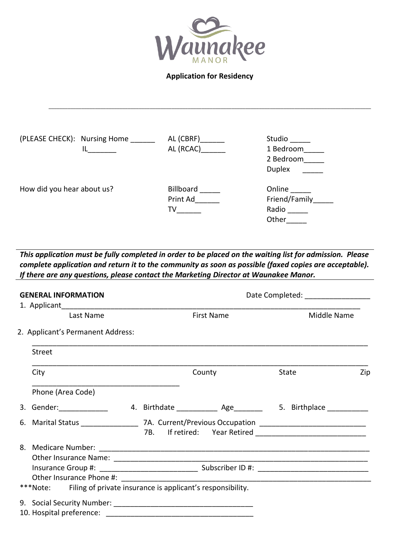

**Application for Residency** 

\_\_\_\_\_\_\_\_\_\_\_\_\_\_\_\_\_\_\_\_\_\_\_\_\_\_\_\_\_\_\_\_\_\_\_\_\_\_\_\_\_\_\_\_\_\_\_\_\_\_\_\_\_\_\_\_\_\_\_\_\_\_\_\_\_\_\_\_\_\_\_\_\_\_\_\_\_\_\_\_\_\_\_\_\_\_\_\_\_\_\_\_\_\_\_\_\_\_\_\_\_\_\_\_\_\_\_\_\_\_\_\_\_\_\_\_\_\_

| (PLEASE CHECK): Nursing Home | AL (CBRF) | Studio        |
|------------------------------|-----------|---------------|
|                              | AL (RCAC) | 1 Bedroom     |
|                              |           | 2 Bedroom     |
|                              |           | <b>Duplex</b> |
| How did you hear about us?   | Billboard | Online        |
|                              | Print Ad  | Friend/Family |
|                              | TV        | Radio         |
|                              |           | Other         |

*This application must be fully completed in order to be placed on the waiting list for admission. Please complete application and return it to the community as soon as possible (faxed copies are acceptable). If there are any questions, please contact the Marketing Director at Waunakee Manor.*

| <b>GENERAL INFORMATION</b>                                          | Date Completed: ________________  |             |     |
|---------------------------------------------------------------------|-----------------------------------|-------------|-----|
| Last Name                                                           | <b>First Name</b>                 | Middle Name |     |
| 2. Applicant's Permanent Address:                                   |                                   |             |     |
| Street                                                              |                                   |             |     |
| City                                                                | County                            | State       | Zip |
| Phone (Area Code)                                                   |                                   |             |     |
|                                                                     | 4. Birthdate 6. Age 5. Birthplace |             |     |
|                                                                     |                                   |             |     |
|                                                                     |                                   |             |     |
|                                                                     |                                   |             |     |
|                                                                     |                                   |             |     |
|                                                                     |                                   |             |     |
| ***Note: Filing of private insurance is applicant's responsibility. |                                   |             |     |
|                                                                     |                                   |             |     |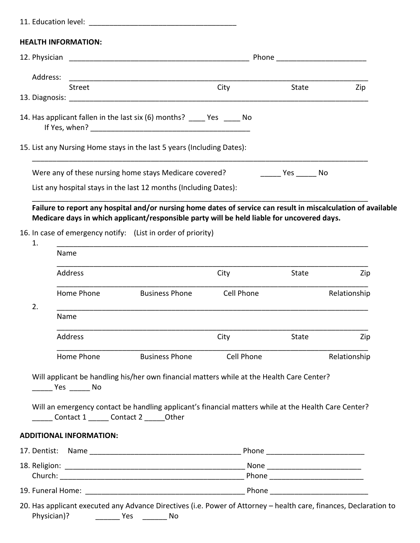|    | <b>HEALTH INFORMATION:</b>              |                                                                                                      |                   |                                                                                            |                     |
|----|-----------------------------------------|------------------------------------------------------------------------------------------------------|-------------------|--------------------------------------------------------------------------------------------|---------------------|
|    |                                         |                                                                                                      |                   | Phone ___________________________                                                          |                     |
|    | Address:                                |                                                                                                      |                   |                                                                                            |                     |
|    | Street                                  |                                                                                                      | City              | State                                                                                      | Zip                 |
|    |                                         | 14. Has applicant fallen in the last six (6) months? _____ Yes _____ No                              |                   |                                                                                            |                     |
|    |                                         | 15. List any Nursing Home stays in the last 5 years (Including Dates):                               |                   |                                                                                            |                     |
|    |                                         | Were any of these nursing home stays Medicare covered?                                               |                   | <b>Example Struck</b> Press No                                                             |                     |
|    |                                         | List any hospital stays in the last 12 months (Including Dates):                                     |                   |                                                                                            |                     |
|    |                                         |                                                                                                      |                   | Medicare days in which applicant/responsible party will be held liable for uncovered days. |                     |
| 1. | Name                                    | 16. In case of emergency notify: (List in order of priority)                                         |                   |                                                                                            |                     |
|    | Address                                 |                                                                                                      | City              | <b>State</b>                                                                               |                     |
|    | Home Phone                              | <b>Business Phone</b>                                                                                | <b>Cell Phone</b> |                                                                                            |                     |
| 2. | Name                                    |                                                                                                      |                   |                                                                                            | Zip<br>Relationship |
|    | Address                                 |                                                                                                      | City              | <b>State</b>                                                                               | Zip                 |
|    | Home Phone                              | <b>Business Phone</b>                                                                                | Cell Phone        |                                                                                            | Relationship        |
|    |                                         | Will applicant be handling his/her own financial matters while at the Health Care Center?            |                   |                                                                                            |                     |
|    | Contact 1 ______ Contact 2 ______ Other | Will an emergency contact be handling applicant's financial matters while at the Health Care Center? |                   |                                                                                            |                     |
|    | <b>ADDITIONAL INFORMATION:</b>          |                                                                                                      |                   |                                                                                            |                     |
|    |                                         |                                                                                                      |                   |                                                                                            |                     |
|    |                                         |                                                                                                      |                   | Phone _________________________                                                            |                     |

20. Has applicant executed any Advance Directives (i.e. Power of Attorney – health care, finances, Declaration to Physician)? \_\_\_\_\_\_ Yes \_\_\_\_\_\_ No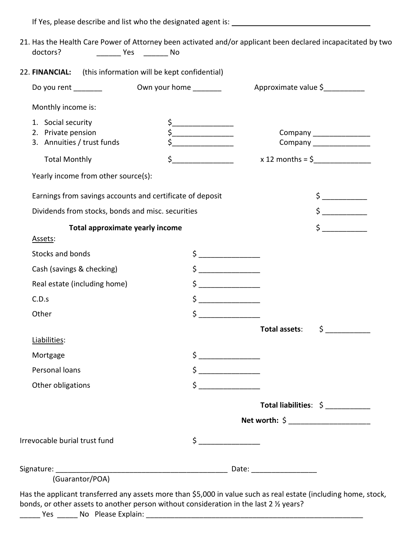If Yes, please describe and list who the designated agent is:

| 22. FINANCIAL:                                            | (this information will be kept confidential)                                                                                                                                                                                                                                                                                                        |                            |
|-----------------------------------------------------------|-----------------------------------------------------------------------------------------------------------------------------------------------------------------------------------------------------------------------------------------------------------------------------------------------------------------------------------------------------|----------------------------|
| Do you rent ________                                      | Own your home ________                                                                                                                                                                                                                                                                                                                              | Approximate value \$       |
| Monthly income is:                                        |                                                                                                                                                                                                                                                                                                                                                     |                            |
| 1. Social security                                        |                                                                                                                                                                                                                                                                                                                                                     |                            |
| 2. Private pension                                        | $\frac{1}{2}$                                                                                                                                                                                                                                                                                                                                       | Company _______________    |
| 3. Annuities / trust funds                                |                                                                                                                                                                                                                                                                                                                                                     | Company _______________    |
| <b>Total Monthly</b>                                      | $\frac{1}{2}$                                                                                                                                                                                                                                                                                                                                       |                            |
| Yearly income from other source(s):                       |                                                                                                                                                                                                                                                                                                                                                     |                            |
| Earnings from savings accounts and certificate of deposit |                                                                                                                                                                                                                                                                                                                                                     | $\frac{1}{2}$              |
| Dividends from stocks, bonds and misc. securities         |                                                                                                                                                                                                                                                                                                                                                     | $\frac{1}{2}$              |
| <b>Total approximate yearly income</b>                    |                                                                                                                                                                                                                                                                                                                                                     |                            |
| Assets:                                                   |                                                                                                                                                                                                                                                                                                                                                     |                            |
| Stocks and bonds                                          | $\frac{1}{2}$                                                                                                                                                                                                                                                                                                                                       |                            |
| Cash (savings & checking)                                 | $\begin{picture}(20,20) \put(0,0){\line(1,0){10}} \put(15,0){\line(1,0){10}} \put(15,0){\line(1,0){10}} \put(15,0){\line(1,0){10}} \put(15,0){\line(1,0){10}} \put(15,0){\line(1,0){10}} \put(15,0){\line(1,0){10}} \put(15,0){\line(1,0){10}} \put(15,0){\line(1,0){10}} \put(15,0){\line(1,0){10}} \put(15,0){\line(1,0){10}} \put(15,0){\line(1$ |                            |
| Real estate (including home)                              | $\zeta$                                                                                                                                                                                                                                                                                                                                             |                            |
| C.D.s                                                     | $\frac{1}{2}$                                                                                                                                                                                                                                                                                                                                       |                            |
| Other                                                     | $\zeta$                                                                                                                                                                                                                                                                                                                                             |                            |
|                                                           |                                                                                                                                                                                                                                                                                                                                                     | \$<br>Total assets:        |
| Liabilities:                                              |                                                                                                                                                                                                                                                                                                                                                     |                            |
| Mortgage                                                  |                                                                                                                                                                                                                                                                                                                                                     |                            |
| Personal loans                                            | $\frac{1}{2}$                                                                                                                                                                                                                                                                                                                                       |                            |
| Other obligations                                         | $\frac{1}{2}$                                                                                                                                                                                                                                                                                                                                       |                            |
|                                                           |                                                                                                                                                                                                                                                                                                                                                     | Total liabilities: $\oint$ |
|                                                           |                                                                                                                                                                                                                                                                                                                                                     |                            |
| Irrevocable burial trust fund                             |                                                                                                                                                                                                                                                                                                                                                     |                            |
|                                                           |                                                                                                                                                                                                                                                                                                                                                     |                            |
|                                                           |                                                                                                                                                                                                                                                                                                                                                     |                            |
| (Guarantor/POA)                                           |                                                                                                                                                                                                                                                                                                                                                     |                            |

\_\_\_\_\_ Yes \_\_\_\_\_ No Please Explain: \_\_\_\_\_\_\_\_\_\_\_\_\_\_\_\_\_\_\_\_\_\_\_\_\_\_\_\_\_\_\_\_\_\_\_\_\_\_\_\_\_\_\_\_\_\_\_\_\_\_\_\_\_